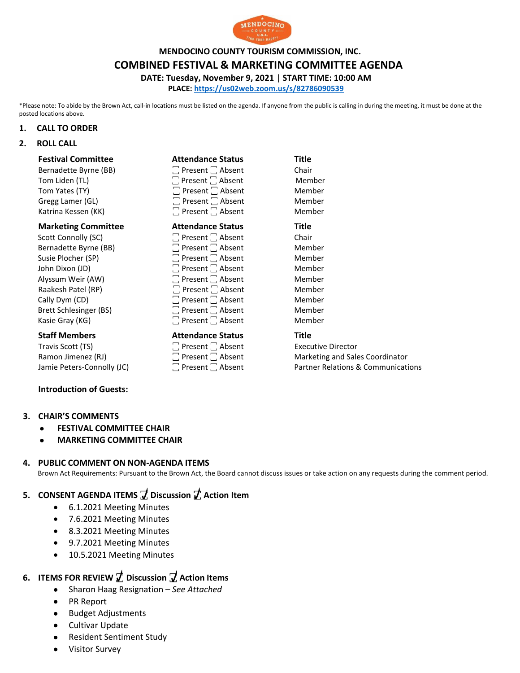

**MENDOCINO COUNTY TOURISM COMMISSION, INC.**

**COMBINED FESTIVAL & MARKETING COMMITTEE AGENDA**

**DATE: Tuesday, November 9, 2021** | **START TIME: 10:00 AM**

**PLACE:<https://us02web.zoom.us/s/82786090539>**

\*Please note: To abide by the Brown Act, call-in locations must be listed on the agenda. If anyone from the public is calling in during the meeting, it must be done at the posted locations above.

### **1. CALL TO ORDER**

## **2. ROLL CALL**

| <b>Festival Committee</b>  | <b>Attendance Status</b>     | <b>Title</b> |
|----------------------------|------------------------------|--------------|
| Bernadette Byrne (BB)      | $\Box$ Present $\Box$ Absent | Chair        |
| Tom Liden (TL)             | $\Box$ Present $\Box$ Absent | Member       |
| Tom Yates (TY)             | $\Box$ Present $\Box$ Absent | Member       |
| Gregg Lamer (GL)           | $\Box$ Present $\Box$ Absent | Member       |
| Katrina Kessen (KK)        | $\Box$ Present $\Box$ Absent | Member       |
| <b>Marketing Committee</b> | <b>Attendance Status</b>     | Title        |
| Scott Connolly (SC)        | $\Box$ Present $\Box$ Absent | Chair        |
| Bernadette Byrne (BB)      | $\Box$ Present $\Box$ Absent | Member       |
| Susie Plocher (SP)         | $\Box$ Present $\Box$ Absent | Member       |
| John Dixon (JD)            | $\Box$ Present $\Box$ Absent | Member       |
| Alyssum Weir (AW)          | $\Box$ Present $\Box$ Absent | Member       |
| Raakesh Patel (RP)         | $\Box$ Present $\Box$ Absent | Member       |
| Cally Dym (CD)             | $\Box$ Present $\Box$ Absent | Member       |
|                            |                              |              |

## **Staff Members Attendance Status Title**

Travis Scott (TS)  $\Box$  Present  $\Box$  Absent  $\Box$  Absent Executive Director<br>
Ramon Jimenez (RJ)  $\Box$  Present  $\Box$  Absent Marketing and Sale

### **Introduction of Guests:**

### **3. CHAIR'S COMMENTS**

- **FESTIVAL COMMITTEE CHAIR**
- **MARKETING COMMITTEE CHAIR**

### **4. PUBLIC COMMENT ON NON-AGENDA ITEMS**

Brown Act Requirements: Pursuant to the Brown Act, the Board cannot discuss issues or take action on any requests during the comment period.

# **5. CONSENT AGENDA ITEMS ꙱ Discussion ꙱ Action Item**

- 6.1.2021 Meeting Minutes
- 7.6.2021 Meeting Minutes
- 8.3.2021 Meeting Minutes
- 9.7.2021 Meeting Minutes
- 10.5.2021 Meeting Minutes

# **6. ITEMS FOR REVIEW ꙱ Discussion ꙱ Action Items**

- Sharon Haag Resignation *See Attached*
- PR Report
- Budget Adjustments
- **•** Cultivar Update
- Resident Sentiment Study
- Visitor Survey

Brett Schlesinger (BS) Absent Member Kasie Gray (KG)  $\hskip1cm \Box$  Present  $\Box$  Absent  $\hskip1cm \Box$  Member

Ramon Jimenez (RJ)  $\Box$  Present  $\Box$  Absent Marketing and Sales Coordinator<br>
Jamie Peters-Connolly (JC)  $\Box$  Present  $\Box$  Absent Partner Relations & Communication Jamie Peters-Connolly (JC)  $\Box$  Present  $\Box$  Absent Partner Relations & Communications